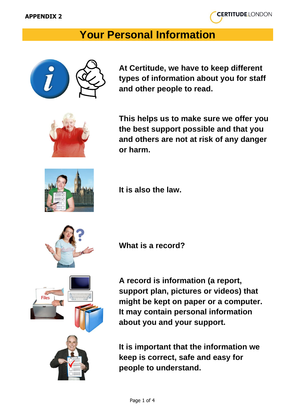

## **Your Personal Information**



**At Certitude, we have to keep different types of information about you for staff and other people to read.**



**This helps us to make sure we offer you the best support possible and that you and others are not at risk of any danger or harm.**



**It is also the law.**

**What is a record?**



**A record is information (a report, support plan, pictures or videos) that might be kept on paper or a computer. It may contain personal information about you and your support.**

**It is important that the information we keep is correct, safe and easy for people to understand.**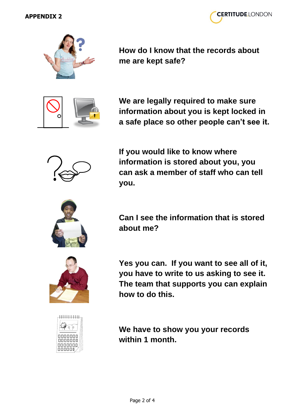



**How do I know that the records about me are kept safe?**



**We are legally required to make sure information about you is kept locked in a safe place so other people can't see it.**



**If you would like to know where information is stored about you, you can ask a member of staff who can tell you.**



**Can I see the information that is stored about me?**

**Yes you can. If you want to see all of it, you have to write to us asking to see it. The team that supports you can explain how to do this.**



**We have to show you your records within 1 month.**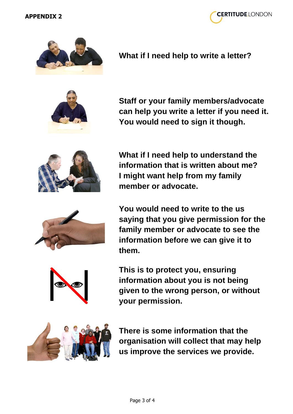



**What if I need help to write a letter?**

**Staff or your family members/advocate** 

**You would need to sign it though.**

**can help you write a letter if you need it.** 



**What if I need help to understand the information that is written about me? I might want help from my family member or advocate.**

**You would need to write to the us saying that you give permission for the family member or advocate to see the information before we can give it to them.**

**This is to protect you, ensuring information about you is not being given to the wrong person, or without your permission.**



**There is some information that the organisation will collect that may help us improve the services we provide.**